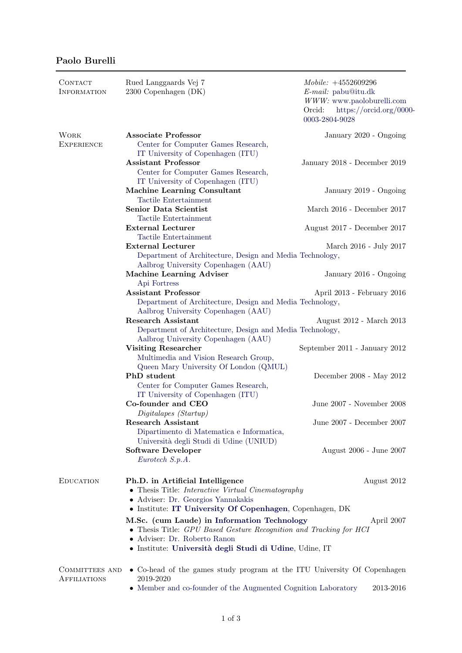## Paolo Burelli

| CONTACT<br><b>INFORMATION</b>    | Rued Langgaards Vej 7<br>2300 Copenhagen (DK)                                                                                                                                            | $\textit{Mobile}: +4552609296$<br>$E$ -mail: pabu@itu.dk<br>$WWW:$ www.paoloburelli.com<br>Orcid:<br>https://orcid.org/0000-<br>0003-2804-9028 |  |
|----------------------------------|------------------------------------------------------------------------------------------------------------------------------------------------------------------------------------------|------------------------------------------------------------------------------------------------------------------------------------------------|--|
| <b>WORK</b><br><b>EXPERIENCE</b> | <b>Associate Professor</b><br>Center for Computer Games Research,                                                                                                                        | January 2020 - Ongoing                                                                                                                         |  |
|                                  | IT University of Copenhagen (ITU)<br><b>Assistant Professor</b><br>Center for Computer Games Research,                                                                                   | January 2018 - December 2019                                                                                                                   |  |
|                                  | IT University of Copenhagen (ITU)<br><b>Machine Learning Consultant</b><br>Tactile Entertainment                                                                                         | January 2019 - Ongoing                                                                                                                         |  |
|                                  | <b>Senior Data Scientist</b><br>Tactile Entertainment                                                                                                                                    | March 2016 - December 2017                                                                                                                     |  |
|                                  | <b>External Lecturer</b><br>Tactile Entertainment                                                                                                                                        | August 2017 - December 2017                                                                                                                    |  |
|                                  | <b>External Lecturer</b><br>Department of Architecture, Design and Media Technology,                                                                                                     | March 2016 - July 2017                                                                                                                         |  |
|                                  | Aalbrog University Copenhagen (AAU)<br>Machine Learning Adviser<br>Api Fortress                                                                                                          | January 2016 - Ongoing                                                                                                                         |  |
|                                  | <b>Assistant Professor</b>                                                                                                                                                               | April 2013 - February 2016                                                                                                                     |  |
|                                  | Department of Architecture, Design and Media Technology,<br>Aalbrog University Copenhagen (AAU)                                                                                          |                                                                                                                                                |  |
|                                  | <b>Research Assistant</b>                                                                                                                                                                | August 2012 - March 2013                                                                                                                       |  |
|                                  | Department of Architecture, Design and Media Technology,<br>Aalbrog University Copenhagen (AAU)                                                                                          |                                                                                                                                                |  |
|                                  | <b>Visiting Researcher</b><br>Multimedia and Vision Research Group,<br>Queen Mary University Of London (QMUL)                                                                            | September 2011 - January 2012                                                                                                                  |  |
|                                  | PhD student<br>Center for Computer Games Research,                                                                                                                                       | December 2008 - May 2012                                                                                                                       |  |
|                                  | IT University of Copenhagen (ITU)<br>Co-founder and CEO<br>Digitalapes (Startup)                                                                                                         | June 2007 - November 2008                                                                                                                      |  |
|                                  | Research Assistant<br>Dipartimento di Matematica e Informatica,                                                                                                                          | June 2007 - December 2007                                                                                                                      |  |
|                                  | Università degli Studi di Udine (UNIUD)<br><b>Software Developer</b><br>Eurotech S.p.A.                                                                                                  | August 2006 - June 2007                                                                                                                        |  |
| <b>EDUCATION</b>                 | Ph.D. in Artificial Intelligence<br>• Thesis Title: Interactive Virtual Cinematography<br>· Adviser: Dr. Georgios Yannakakis<br>• Institute: IT University Of Copenhagen, Copenhagen, DK | August 2012                                                                                                                                    |  |
|                                  | M.Sc. (cum Laude) in Information Technology<br>April 2007<br>• Thesis Title: GPU Based Gesture Recognition and Tracking for HCI<br>· Adviser: Dr. Roberto Ranon                          |                                                                                                                                                |  |
|                                  | · Institute: Università degli Studi di Udine, Udine, IT                                                                                                                                  |                                                                                                                                                |  |
| COMMITTEES AND<br>AFFILIATIONS   | • Co-head of the games study program at the ITU University Of Copenhagen<br>2019-2020                                                                                                    |                                                                                                                                                |  |
|                                  | • Member and co-founder of the Augmented Cognition Laboratory                                                                                                                            | 2013-2016                                                                                                                                      |  |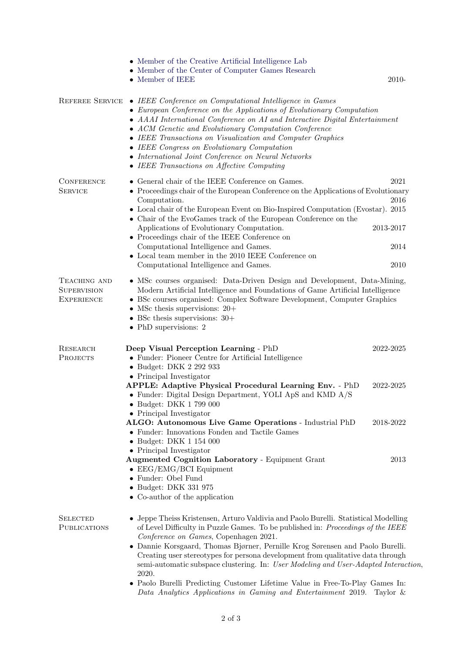|                                                         | • Member of the Creative Artificial Intelligence Lab<br>• Member of the Center of Computer Games Research<br>• Member of IEEE                                                                                                                                                                                                                                                                                                                                                                                                                                                                                                         | 2010-                             |  |
|---------------------------------------------------------|---------------------------------------------------------------------------------------------------------------------------------------------------------------------------------------------------------------------------------------------------------------------------------------------------------------------------------------------------------------------------------------------------------------------------------------------------------------------------------------------------------------------------------------------------------------------------------------------------------------------------------------|-----------------------------------|--|
| REFEREE SERVICE                                         | • IEEE Conference on Computational Intelligence in Games<br>• European Conference on the Applications of Evolutionary Computation<br>• AAAI International Conference on AI and Interactive Digital Entertainment<br>• ACM Genetic and Evolutionary Computation Conference<br>• IEEE Transactions on Visualization and Computer Graphics<br>• IEEE Congress on Evolutionary Computation<br>• International Joint Conference on Neural Networks<br>$\bullet$ IEEE Transactions on Affective Computing                                                                                                                                   |                                   |  |
| <b>CONFERENCE</b><br><b>SERVICE</b>                     | • General chair of the IEEE Conference on Games.<br>• Proceedings chair of the European Conference on the Applications of Evolutionary<br>Computation.<br>• Local chair of the European Event on Bio-Inspired Computation (Evostar). 2015<br>• Chair of the EvoGames track of the European Conference on the<br>Applications of Evolutionary Computation.<br>• Proceedings chair of the IEEE Conference on<br>Computational Intelligence and Games.                                                                                                                                                                                   | 2021<br>2016<br>2013-2017<br>2014 |  |
|                                                         | • Local team member in the 2010 IEEE Conference on<br>Computational Intelligence and Games.                                                                                                                                                                                                                                                                                                                                                                                                                                                                                                                                           | 2010                              |  |
| TEACHING AND<br><b>SUPERVISION</b><br><b>EXPERIENCE</b> | • MSc courses organised: Data-Driven Design and Development, Data-Mining,<br>Modern Artificial Intelligence and Foundations of Game Artificial Intelligence<br>• BSc courses organised: Complex Software Development, Computer Graphics<br>• MSc thesis supervisions: $20+$<br>• BSc thesis supervisions: $30+$<br>$\bullet$ PhD supervisions: 2                                                                                                                                                                                                                                                                                      |                                   |  |
| RESEARCH<br><b>PROJECTS</b>                             | Deep Visual Perception Learning - PhD<br>• Funder: Pioneer Centre for Artificial Intelligence<br>• Budget: DKK 2 292 933<br>• Principal Investigator<br><b>APPLE: Adaptive Physical Procedural Learning Env. - PhD</b><br>• Funder: Digital Design Department, YOLI ApS and KMD A/S                                                                                                                                                                                                                                                                                                                                                   | 2022-2025<br>2022-2025            |  |
|                                                         | • Budget: DKK 1 799 000<br>• Principal Investigator<br>ALGO: Autonomous Live Game Operations - Industrial PhD<br>• Funder: Innovations Fonden and Tactile Games<br>• Budget: DKK 1 154 000                                                                                                                                                                                                                                                                                                                                                                                                                                            | 2018-2022                         |  |
|                                                         | • Principal Investigator<br><b>Augmented Cognition Laboratory - Equipment Grant</b><br>$\bullet$ EEG/EMG/BCI Equipment<br>• Funder: Obel Fund<br>• Budget: DKK 331 975<br>• Co-author of the application                                                                                                                                                                                                                                                                                                                                                                                                                              | 2013                              |  |
| <b>SELECTED</b><br><b>PUBLICATIONS</b>                  | • Jeppe Theiss Kristensen, Arturo Valdivia and Paolo Burelli. Statistical Modelling<br>of Level Difficulty in Puzzle Games. To be published in: Proceedings of the IEEE<br>Conference on Games, Copenhagen 2021.<br>• Dannie Korsgaard, Thomas Bjørner, Pernille Krog Sørensen and Paolo Burelli.<br>Creating user stereotypes for persona development from qualitative data through<br>semi-automatic subspace clustering. In: User Modeling and User-Adapted Interaction.<br>2020.<br>• Paolo Burelli Predicting Customer Lifetime Value in Free-To-Play Games In:<br>Data Analytics Applications in Gaming and Entertainment 2019. | Taylor $\&$                       |  |